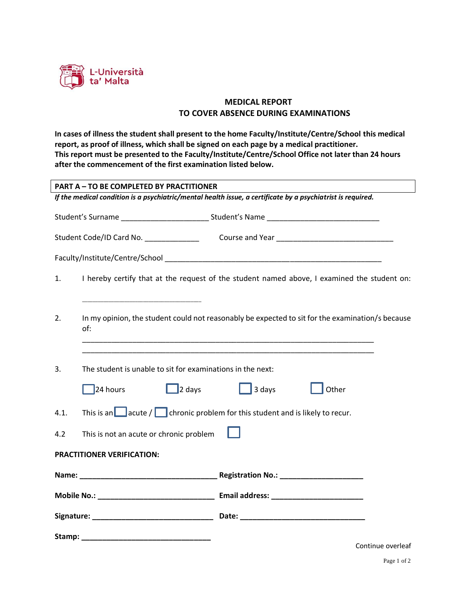

## **MEDICAL REPORT TO COVER ABSENCE DURING EXAMINATIONS**

**In cases of illness the student shall present to the home Faculty/Institute/Centre/School this medical report, as proof of illness, which shall be signed on each page by a medical practitioner. This report must be presented to the Faculty/Institute/Centre/School Office not later than 24 hours after the commencement of the first examination listed below.**

| <b>PART A - TO BE COMPLETED BY PRACTITIONER</b>                                                             |                                                                                                         |                                                                                                                                                   |                   |  |  |  |
|-------------------------------------------------------------------------------------------------------------|---------------------------------------------------------------------------------------------------------|---------------------------------------------------------------------------------------------------------------------------------------------------|-------------------|--|--|--|
| If the medical condition is a psychiatric/mental health issue, a certificate by a psychiatrist is required. |                                                                                                         |                                                                                                                                                   |                   |  |  |  |
|                                                                                                             |                                                                                                         |                                                                                                                                                   |                   |  |  |  |
|                                                                                                             |                                                                                                         |                                                                                                                                                   |                   |  |  |  |
|                                                                                                             |                                                                                                         |                                                                                                                                                   |                   |  |  |  |
| 1.                                                                                                          |                                                                                                         | I hereby certify that at the request of the student named above, I examined the student on:                                                       |                   |  |  |  |
| 2.                                                                                                          | In my opinion, the student could not reasonably be expected to sit for the examination/s because<br>of: |                                                                                                                                                   |                   |  |  |  |
| 3.                                                                                                          | The student is unable to sit for examinations in the next:<br>$\sqrt{24}$ hours                         | <u> 1989 - Johann John Stoff, deutscher Stoffen und der Stoffen und der Stoffen und der Stoffen und der Stoffen</u><br>2 days and a days<br>Other |                   |  |  |  |
| 4.1.                                                                                                        | This is an $\Box$ acute / $\Box$ chronic problem for this student and is likely to recur.               |                                                                                                                                                   |                   |  |  |  |
| 4.2                                                                                                         | This is not an acute or chronic problem                                                                 |                                                                                                                                                   |                   |  |  |  |
|                                                                                                             | PRACTITIONER VERIFICATION:                                                                              |                                                                                                                                                   |                   |  |  |  |
|                                                                                                             |                                                                                                         |                                                                                                                                                   |                   |  |  |  |
|                                                                                                             |                                                                                                         |                                                                                                                                                   |                   |  |  |  |
|                                                                                                             |                                                                                                         |                                                                                                                                                   |                   |  |  |  |
|                                                                                                             |                                                                                                         |                                                                                                                                                   | Continue overleaf |  |  |  |